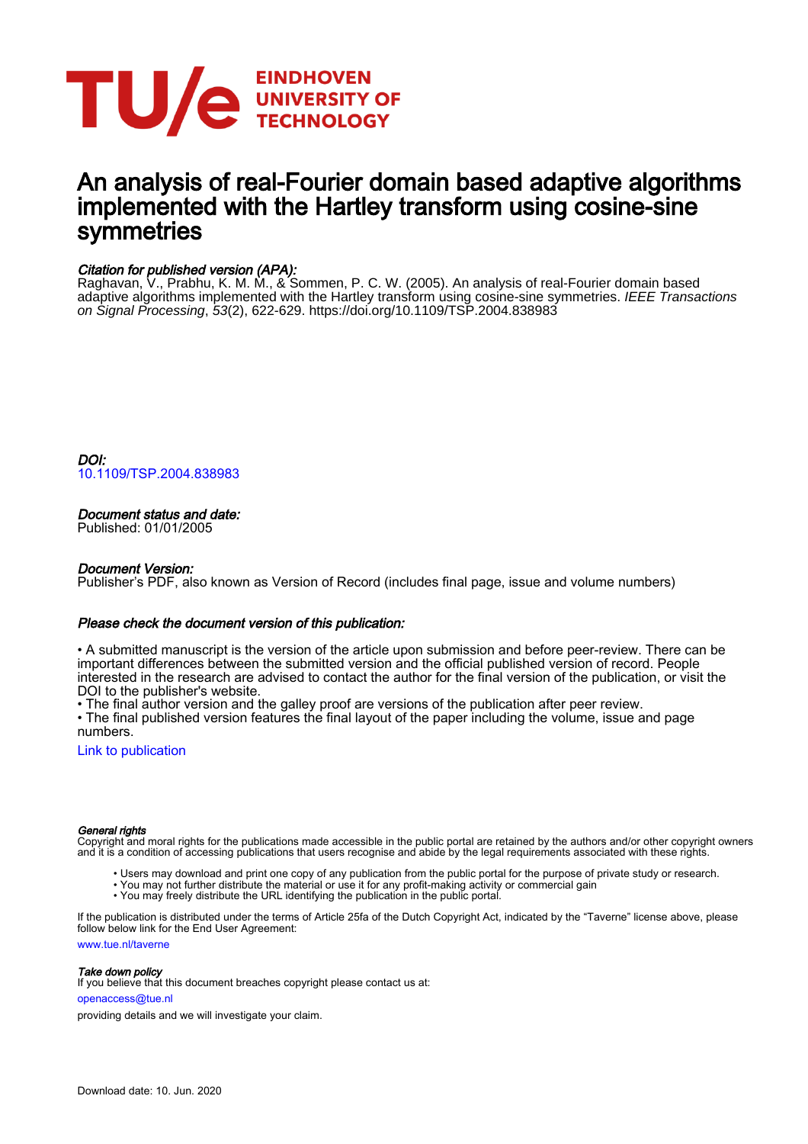

# An analysis of real-Fourier domain based adaptive algorithms implemented with the Hartley transform using cosine-sine symmetries

# Citation for published version (APA):

Raghavan, V., Prabhu, K. M. M., & Sommen, P. C. W. (2005). An analysis of real-Fourier domain based adaptive algorithms implemented with the Hartley transform using cosine-sine symmetries. *IEEE Transactions* on Signal Processing, 53(2), 622-629. <https://doi.org/10.1109/TSP.2004.838983>

DOI: [10.1109/TSP.2004.838983](https://doi.org/10.1109/TSP.2004.838983)

# Document status and date:

Published: 01/01/2005

### Document Version:

Publisher's PDF, also known as Version of Record (includes final page, issue and volume numbers)

## Please check the document version of this publication:

• A submitted manuscript is the version of the article upon submission and before peer-review. There can be important differences between the submitted version and the official published version of record. People interested in the research are advised to contact the author for the final version of the publication, or visit the DOI to the publisher's website.

• The final author version and the galley proof are versions of the publication after peer review.

• The final published version features the final layout of the paper including the volume, issue and page numbers.

[Link to publication](https://research.tue.nl/en/publications/an-analysis-of-realfourier-domain-based-adaptive-algorithms-implemented-with-the-hartley-transform-using-cosinesine-symmetries(71ef921b-dbdc-4c24-9f33-d431fc666947).html)

#### General rights

Copyright and moral rights for the publications made accessible in the public portal are retained by the authors and/or other copyright owners and it is a condition of accessing publications that users recognise and abide by the legal requirements associated with these rights.

- Users may download and print one copy of any publication from the public portal for the purpose of private study or research.
- You may not further distribute the material or use it for any profit-making activity or commercial gain
	- You may freely distribute the URL identifying the publication in the public portal.

If the publication is distributed under the terms of Article 25fa of the Dutch Copyright Act, indicated by the "Taverne" license above, please follow below link for the End User Agreement:

www.tue.nl/taverne

#### Take down policy

If you believe that this document breaches copyright please contact us at:

openaccess@tue.nl

providing details and we will investigate your claim.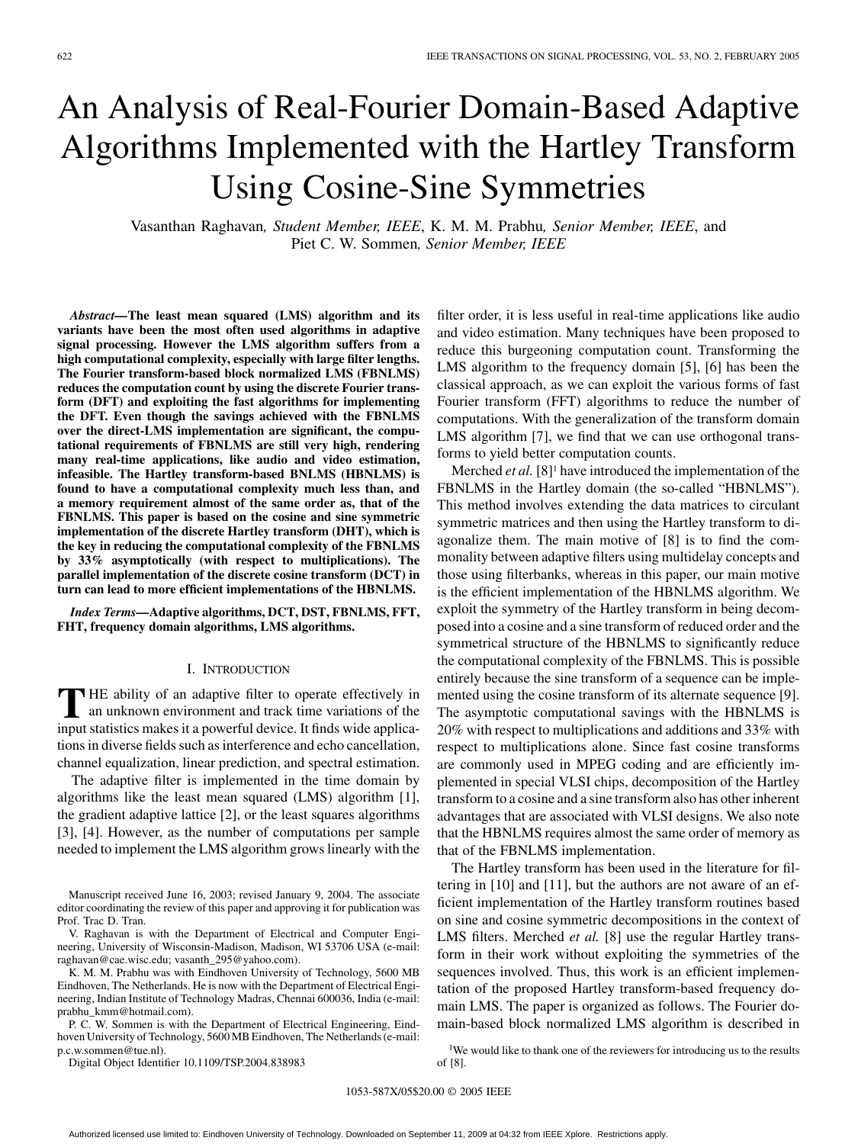# An Analysis of Real-Fourier Domain-Based Adaptive Algorithms Implemented with the Hartley Transform Using Cosine-Sine Symmetries

Vasanthan Raghavan*, Student Member, IEEE*, K. M. M. Prabhu*, Senior Member, IEEE*, and Piet C. W. Sommen*, Senior Member, IEEE*

*Abstract—***The least mean squared (LMS) algorithm and its variants have been the most often used algorithms in adaptive signal processing. However the LMS algorithm suffers from a high computational complexity, especially with large filter lengths. The Fourier transform-based block normalized LMS (FBNLMS) reduces the computation count by using the discrete Fourier transform (DFT) and exploiting the fast algorithms for implementing the DFT. Even though the savings achieved with the FBNLMS over the direct-LMS implementation are significant, the computational requirements of FBNLMS are still very high, rendering many real-time applications, like audio and video estimation, infeasible. The Hartley transform-based BNLMS (HBNLMS) is found to have a computational complexity much less than, and a memory requirement almost of the same order as, that of the FBNLMS. This paper is based on the cosine and sine symmetric implementation of the discrete Hartley transform (DHT), which is the key in reducing the computational complexity of the FBNLMS by 33% asymptotically (with respect to multiplications). The parallel implementation of the discrete cosine transform (DCT) in turn can lead to more efficient implementations of the HBNLMS.**

*Index Terms—***Adaptive algorithms, DCT, DST, FBNLMS, FFT, FHT, frequency domain algorithms, LMS algorithms.**

#### I. INTRODUCTION

**T** HE ability of an adaptive filter to operate effectively in an unknown environment and track time variations of the input statistics makes it a powerful device. It finds wide applications in diverse fields such as interference and echo cancellation, channel equalization, linear prediction, and spectral estimation.

The adaptive filter is implemented in the time domain by algorithms like the least mean squared (LMS) algorithm [[1\]](#page-8-0), the gradient adaptive lattice [[2\]](#page-8-0), or the least squares algorithms [[3\]](#page-8-0), [\[4](#page-8-0)]. However, as the number of computations per sample needed to implement the LMS algorithm grows linearly with the

Manuscript received June 16, 2003; revised January 9, 2004. The associate editor coordinating the review of this paper and approving it for publication was Prof. Trac D. Tran.

V. Raghavan is with the Department of Electrical and Computer Engineering, University of Wisconsin-Madison, Madison, WI 53706 USA (e-mail: raghavan@cae.wisc.edu; vasanth\_295@yahoo.com).

K. M. M. Prabhu was with Eindhoven University of Technology, 5600 MB Eindhoven, The Netherlands. He is now with the Department of Electrical Engineering, Indian Institute of Technology Madras, Chennai 600036, India (e-mail: prabhu\_kmm@hotmail.com).

P. C. W. Sommen is with the Department of Electrical Engineering, Eindhoven University of Technology, 5600 MB Eindhoven, The Netherlands (e-mail: p.c.w.sommen@tue.nl).

Digital Object Identifier 10.1109/TSP.2004.838983

filter order, it is less useful in real-time applications like audio and video estimation. Many techniques have been proposed to reduce this burgeoning computation count. Transforming the LMS algorithm to the frequency domain [\[5](#page-8-0)], [\[6](#page-8-0)] has been the classical approach, as we can exploit the various forms of fast Fourier transform (FFT) algorithms to reduce the number of computations. With the generalization of the transform domain LMS algorithm [\[7](#page-8-0)], we find that we can use orthogonal transforms to yield better computation counts.

Merched *et al.* [[8\]](#page-8-0)<sup>1</sup> have introduced the implementation of the FBNLMS in the Hartley domain (the so-called "HBNLMS"). This method involves extending the data matrices to circulant symmetric matrices and then using the Hartley transform to diagonalize them. The main motive of [\[8](#page-8-0)] is to find the commonality between adaptive filters using multidelay concepts and those using filterbanks, whereas in this paper, our main motive is the efficient implementation of the HBNLMS algorithm. We exploit the symmetry of the Hartley transform in being decomposed into a cosine and a sine transform of reduced order and the symmetrical structure of the HBNLMS to significantly reduce the computational complexity of the FBNLMS. This is possible entirely because the sine transform of a sequence can be implemented using the cosine transform of its alternate sequence [[9\]](#page-8-0). The asymptotic computational savings with the HBNLMS is 20% with respect to multiplications and additions and 33% with respect to multiplications alone. Since fast cosine transforms are commonly used in MPEG coding and are efficiently implemented in special VLSI chips, decomposition of the Hartley transform to a cosine and a sine transform also has other inherent advantages that are associated with VLSI designs. We also note that the HBNLMS requires almost the same order of memory as that of the FBNLMS implementation.

The Hartley transform has been used in the literature for filtering in [[10\]](#page-8-0) and [[11\]](#page-8-0), but the authors are not aware of an efficient implementation of the Hartley transform routines based on sine and cosine symmetric decompositions in the context of LMS filters. Merched *et al.* [[8\]](#page-8-0) use the regular Hartley transform in their work without exploiting the symmetries of the sequences involved. Thus, this work is an efficient implementation of the proposed Hartley transform-based frequency domain LMS. The paper is organized as follows. The Fourier domain-based block normalized LMS algorithm is described in

<sup>1</sup>We would like to thank one of the reviewers for introducing us to the results of [\[8](#page-8-0)].

1053-587X/05\$20.00 © 2005 IEEE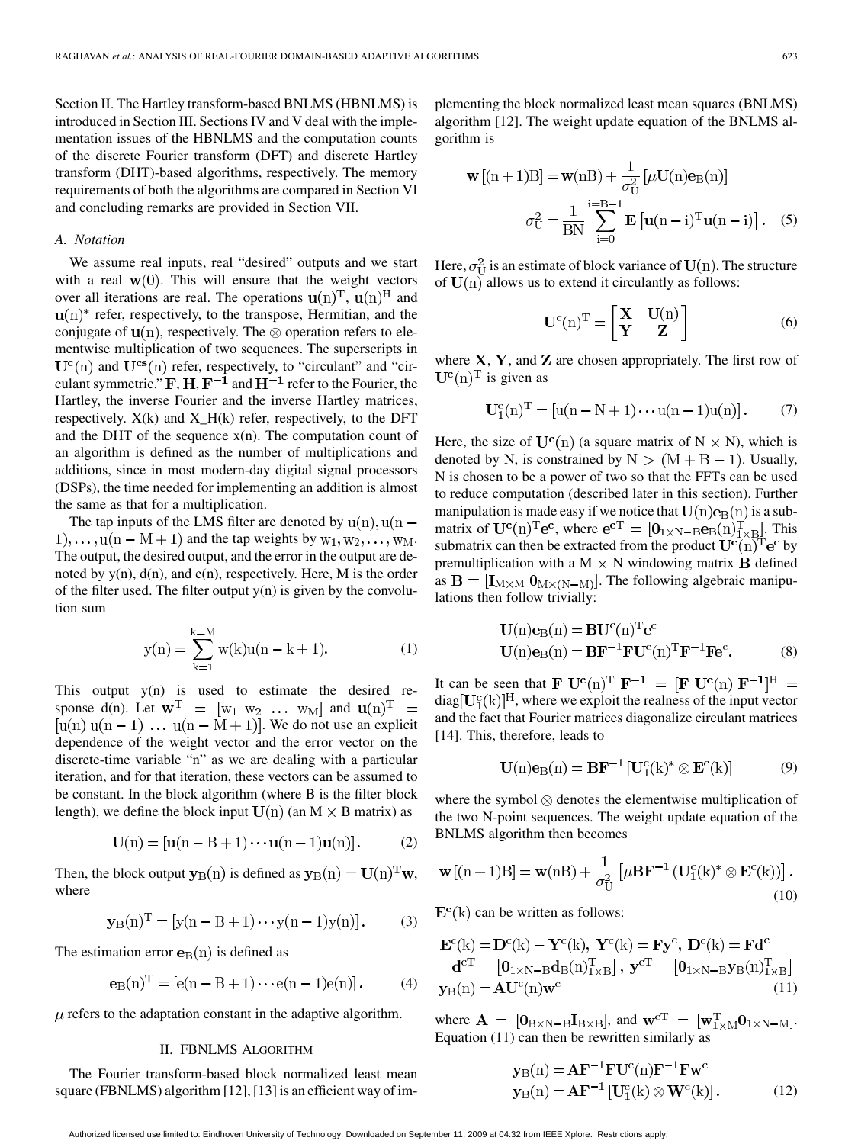Section II. The Hartley transform-based BNLMS (HBNLMS) is introduced in Section III. Sections IV and V deal with the implementation issues of the HBNLMS and the computation counts of the discrete Fourier transform (DFT) and discrete Hartley transform (DHT)-based algorithms, respectively. The memory requirements of both the algorithms are compared in Section VI and concluding remarks are provided in Section VII.

#### *A. Notation*

We assume real inputs, real "desired" outputs and we start with a real  $w(0)$ . This will ensure that the weight vectors over all iterations are real. The operations  $\mathbf{u}(n)^{\mathrm{T}}$ ,  $\mathbf{u}(n)^{\mathrm{H}}$  and  $u(n)$ <sup>\*</sup> refer, respectively, to the transpose, Hermitian, and the conjugate of  $\mathbf{u}(n)$ , respectively. The  $\otimes$  operation refers to elementwise multiplication of two sequences. The superscripts in  $U^c(n)$  and  $U^{cs}(n)$  refer, respectively, to "circulant" and "circulant symmetric."  $F, H, F^{-1}$  and  $H^{-1}$  refer to the Fourier, the Hartley, the inverse Fourier and the inverse Hartley matrices, respectively.  $X(k)$  and  $X_H(k)$  refer, respectively, to the DFT and the DHT of the sequence  $x(n)$ . The computation count of an algorithm is defined as the number of multiplications and additions, since in most modern-day digital signal processors (DSPs), the time needed for implementing an addition is almost the same as that for a multiplication.

The tap inputs of the LMS filter are denoted by  $u(n)$ ,  $u(n 1), \ldots, u(n-M+1)$  and the tap weights by  $w_1, w_2, \ldots, w_M$ . The output, the desired output, and the error in the output are denoted by  $y(n)$ ,  $d(n)$ , and  $e(n)$ , respectively. Here, M is the order of the filter used. The filter output  $y(n)$  is given by the convolution sum

$$
y(n) = \sum_{k=1}^{k=M} w(k)u(n-k+1).
$$
 (1)

This output  $y(n)$  is used to estimate the desired response d(n). Let  $\mathbf{w}^T$  = [ $w_1$   $w_2$  ...  $w_M$ ] and  $\mathbf{u}(n)^T$  =  $[u(n) u(n-1) \dots u(n-M+1)]$ . We do not use an explicit dependence of the weight vector and the error vector on the discrete-time variable "n" as we are dealing with a particular iteration, and for that iteration, these vectors can be assumed to be constant. In the block algorithm (where B is the filter block length), we define the block input  $U(n)$  (an M  $\times$  B matrix) as

$$
\mathbf{U}(n) = [\mathbf{u}(n - B + 1) \cdots \mathbf{u}(n - 1)\mathbf{u}(n)].
$$
 (2)

Then, the block output  $\mathbf{y}_B(n)$  is defined as  $\mathbf{y}_B(n) = \mathbf{U}(n)^T \mathbf{w}$ , where

$$
y_B(n)^T = [y(n - B + 1) \cdots y(n - 1)y(n)].
$$
 (3)

The estimation error  $e_B(n)$  is defined as

$$
\mathbf{e}_{B}(n)^{T} = [e(n - B + 1) \cdots e(n - 1)e(n)].
$$
 (4)

 $\mu$  refers to the adaptation constant in the adaptive algorithm.

#### II. FBNLMS ALGORITHM

The Fourier transform-based block normalized least mean square (FBNLMS) algorithm [[12\]](#page-8-0), [[13\]](#page-8-0) is an efficient way of implementing the block normalized least mean squares (BNLMS) algorithm [[12\]](#page-8-0). The weight update equation of the BNLMS algorithm is

$$
\mathbf{w}[(n+1)B] = \mathbf{w}(nB) + \frac{1}{\sigma_U^2} \left[ \mu \mathbf{U}(n) \mathbf{e}_B(n) \right]
$$

$$
\sigma_U^2 = \frac{1}{BN} \sum_{i=0}^{i=B-1} \mathbf{E} \left[ \mathbf{u}(n-i)^T \mathbf{u}(n-i) \right]. \quad (5)
$$

Here,  $\sigma_{\text{II}}^2$  is an estimate of block variance of U(n). The structure of  $U(n)$  allows us to extend it circulantly as follows:

$$
\mathbf{U}^{\mathrm{c}}(\mathrm{n})^{\mathrm{T}} = \begin{bmatrix} \mathbf{X} & \mathbf{U}(\mathrm{n}) \\ \mathbf{Y} & \mathbf{Z} \end{bmatrix} \tag{6}
$$

where  $X, Y$ , and  $Z$  are chosen appropriately. The first row of  $\mathbf{U}^{\mathbf{c}}(n)^{\mathrm{T}}$  is given as

$$
U_1^c(n)^T = [u(n - N + 1) \cdots u(n - 1)u(n)].
$$
 (7)

Here, the size of  $U^c(n)$  (a square matrix of N  $\times$  N), which is denoted by N, is constrained by  $N > (M + B - 1)$ . Usually, N is chosen to be a power of two so that the FFTs can be used to reduce computation (described later in this section). Further manipulation is made easy if we notice that  $U(n)e_B(n)$  is a submatrix of  $\mathbf{U}^c(n)^{\mathrm{T}} \mathbf{e}^c$ , where  $\mathbf{e}^{cT} = [\mathbf{0}_{1 \times N - B} \mathbf{e}_B(n)^{\mathrm{T}}_{1 \times B}]$ . This submatrix can then be extracted from the product  $U^c(n)^T e^c$  by premultiplication with a  $M \times N$  windowing matrix **B** defined as  $\mathbf{B} = [\mathbf{I}_{M \times M} \mathbf{0}_{M \times (N-M)}].$  The following algebraic manipulations then follow trivially:

$$
U(n)e_B(n) = BUc(n)Tec
$$
  
 
$$
U(n)e_B(n) = BF-1FUc(n)TF-1Fec.
$$
 (8)

It can be seen that  $\mathbf{F} \mathbf{U}^c(n)^T \mathbf{F}^{-1} = [\mathbf{F} \mathbf{U}^c(n) \mathbf{F}^{-1}]^H =$  $\text{diag}[\mathbf{U}_1^c(\mathbf{k})]^{\text{H}}$ , where we exploit the realness of the input vector and the fact that Fourier matrices diagonalize circulant matrices [\[14](#page-8-0)]. This, therefore, leads to

$$
\mathbf{U}(n)\mathbf{e}_{B}(n) = \mathbf{B}\mathbf{F}^{-1}\left[\mathbf{U}_{1}^{c}(k)^{*} \otimes \mathbf{E}^{c}(k)\right] \tag{9}
$$

where the symbol  $\otimes$  denotes the elementwise multiplication of the two N-point sequences. The weight update equation of the BNLMS algorithm then becomes

$$
\mathbf{w}[(n+1)B] = \mathbf{w}(nB) + \frac{1}{\sigma_U^2} \left[ \mu \mathbf{B} \mathbf{F}^{-1} \left( \mathbf{U}_1^c(k)^* \otimes \mathbf{E}^c(k) \right) \right].
$$
\n(10)

 $E<sup>c</sup>(k)$  can be written as follows:

$$
\mathbf{E}^{\mathrm{c}}(\mathrm{k}) = \mathbf{D}^{\mathrm{c}}(\mathrm{k}) - \mathbf{Y}^{\mathrm{c}}(\mathrm{k}), \ \mathbf{Y}^{\mathrm{c}}(\mathrm{k}) = \mathbf{F}\mathbf{y}^{\mathrm{c}}, \ \mathbf{D}^{\mathrm{c}}(\mathrm{k}) = \mathbf{F}\mathbf{d}^{\mathrm{c}} \mathbf{d}^{\mathrm{c}} = [\mathbf{0}_{1 \times N - B} \mathbf{d}_{B}(n)_{1 \times B}^{\mathrm{T}}], \ \mathbf{y}^{\mathrm{c}} = [\mathbf{0}_{1 \times N - B} \mathbf{y}_{B}(n)_{1 \times B}^{\mathrm{T}}] \mathbf{y}_{B}(n) = \mathbf{A}\mathbf{U}^{\mathrm{c}}(n)\mathbf{w}^{\mathrm{c}} \tag{11}
$$

where  $\mathbf{A} = [\mathbf{0}_{B \times N - B} \mathbf{I}_{B \times B}]$ , and  $\mathbf{w}^{\text{c}} = [\mathbf{w}_{1 \times M}^{\text{T}} \mathbf{0}_{1 \times N - M}]$ . Equation (11) can then be rewritten similarly as

$$
\mathbf{y}_{\mathbf{B}}(\mathbf{n}) = \mathbf{A}\mathbf{F}^{-1}\mathbf{F}\mathbf{U}^{\mathbf{c}}(\mathbf{n})\mathbf{F}^{-1}\mathbf{F}\mathbf{w}^{\mathbf{c}}
$$
  
\n
$$
\mathbf{y}_{\mathbf{B}}(\mathbf{n}) = \mathbf{A}\mathbf{F}^{-1} [\mathbf{U}_{1}^{\mathbf{c}}(\mathbf{k}) \otimes \mathbf{W}^{\mathbf{c}}(\mathbf{k})].
$$
 (12)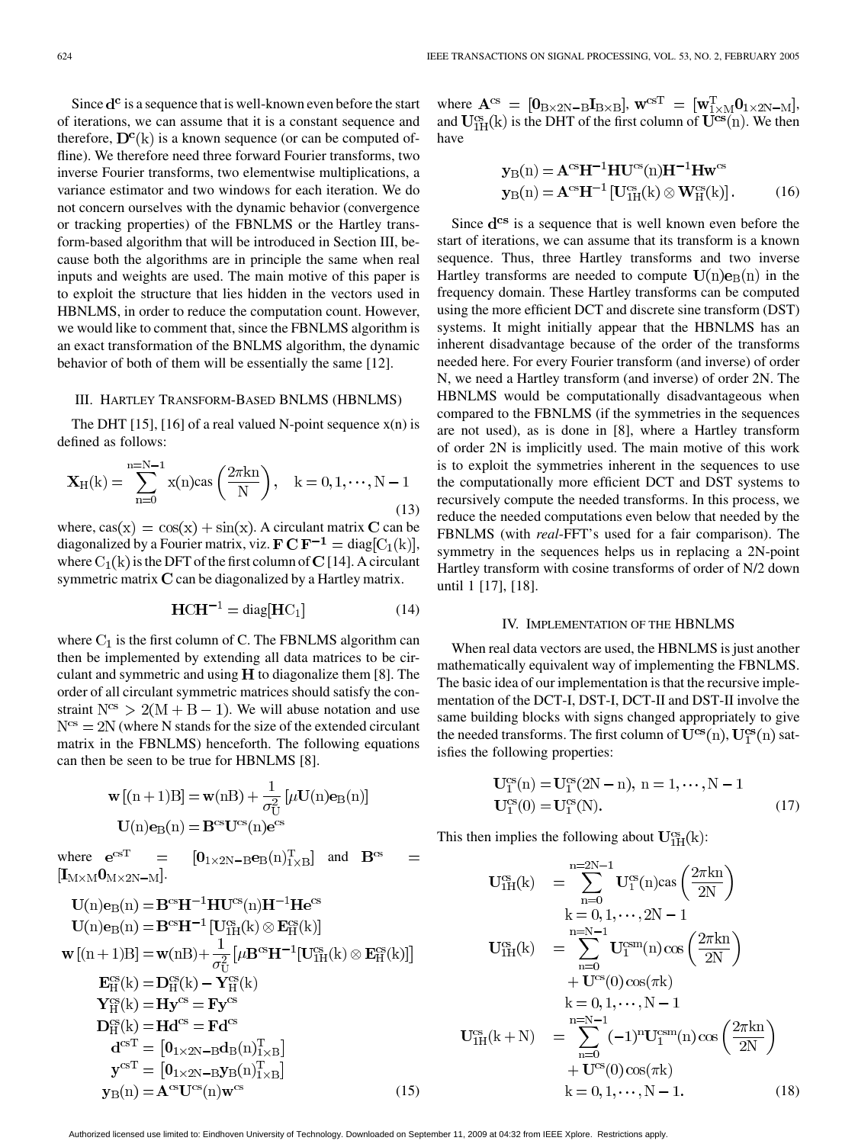Since  $\mathbf{d}^c$  is a sequence that is well-known even before the start of iterations, we can assume that it is a constant sequence and therefore,  $\mathbf{D}^{\mathbf{c}}(k)$  is a known sequence (or can be computed offline). We therefore need three forward Fourier transforms, two inverse Fourier transforms, two elementwise multiplications, a variance estimator and two windows for each iteration. We do not concern ourselves with the dynamic behavior (convergence or tracking properties) of the FBNLMS or the Hartley transform-based algorithm that will be introduced in Section III, because both the algorithms are in principle the same when real inputs and weights are used. The main motive of this paper is to exploit the structure that lies hidden in the vectors used in HBNLMS, in order to reduce the computation count. However, we would like to comment that, since the FBNLMS algorithm is an exact transformation of the BNLMS algorithm, the dynamic behavior of both of them will be essentially the same [[12\]](#page-8-0).

#### III. HARTLEY TRANSFORM-BASED BNLMS (HBNLMS)

The DHT [\[15](#page-8-0)], [[16\]](#page-8-0) of a real valued N-point sequence  $x(n)$  is defined as follows:

$$
\mathbf{X}_{H}(k) = \sum_{n=0}^{n=N-1} x(n) \cos\left(\frac{2\pi kn}{N}\right), \quad k = 0, 1, \cdots, N-1
$$
\n(13)

where,  $\text{cas}(x) = \cos(x) + \sin(x)$ . A circulant matrix C can be diagonalized by a Fourier matrix, viz.  $\mathbf{F} \mathbf{C} \mathbf{F}^{-1} = \text{diag}[C_1(k)],$ where  $C_1(k)$  is the DFT of the first column of C [[14\]](#page-8-0). A circulant symmetric matrix  $C$  can be diagonalized by a Hartley matrix.

$$
HCH^{-1} = \text{diag}[HC_1] \tag{14}
$$

where  $C_1$  is the first column of C. The FBNLMS algorithm can then be implemented by extending all data matrices to be circulant and symmetric and using  $H$  to diagonalize them [\[8](#page-8-0)]. The order of all circulant symmetric matrices should satisfy the constraint  $N^{cs} > 2(M + B - 1)$ . We will abuse notation and use  $N<sup>cs</sup> = 2N$  (where N stands for the size of the extended circulant matrix in the FBNLMS) henceforth. The following equations can then be seen to be true for HBNLMS [[8\]](#page-8-0).

$$
\mathbf{w}[(n+1)B] = \mathbf{w}(nB) + \frac{1}{\sigma_U^2} [\mu \mathbf{U}(n)\mathbf{e}_B(n)]
$$

$$
\mathbf{U}(n)\mathbf{e}_B(n) = \mathbf{B}^{\text{cs}}\mathbf{U}^{\text{cs}}(n)\mathbf{e}^{\text{cs}}
$$

where  $e^{csT}$  =  $\begin{bmatrix} 0_{1 \times 2N-B}\mathbf{e}_{B}(n)_{1 \times B}^{T} \end{bmatrix}$  and  $\mathbf{B}^{cs}$  $[\mathbf{I}_{M\times M}\mathbf{0}_{M\times 2N-M}].$ 

$$
U(n)eB(n) = BcsH-1HUcs(n)H-1Hecs
$$
  
\n
$$
U(n)eB(n) = BcsH-1[Ucs1(k) ⊗ EcsH(k)]
$$
  
\n
$$
\mathbf{w}[(n+1)B] = \mathbf{w}(nB) + \frac{1}{\sigma_U^2}[\mu BcsH-1[Ucs1H(k) ⊗ EcsH(k)]
$$
  
\n
$$
EcsH(k) = DcsH(k) - YcsH(k)
$$
  
\n
$$
YcsH(k) = Hycs = Fycs
$$
  
\n
$$
DcsH(k) = Hdcs = Fdcs
$$
  
\n
$$
dcsT = [01×2N-ByB(n)T1×B]
$$
  
\n
$$
ycsT = [01×2N-ByB(n)T1×B]
$$
  
\n
$$
yB(n) = AcsUcs(n)wcs
$$
 (15)

where  $A^{cs} = [\mathbf{0}_{B \times 2N-B} \mathbf{I}_{B \times B}]$ ,  $\mathbf{w}^{csT} = [\mathbf{w}_{1 \times M}^T \mathbf{0}_{1 \times 2N-M}]$ , and  $\mathbf{U}_{1\mathrm{H}}^{\mathrm{cs}}(\mathrm{k})$  is the DHT of the first column of  $\mathbf{U}^{\mathrm{cs}}(\mathrm{n})$ . We then have

$$
\mathbf{y}_{\mathrm{B}}(n) = \mathbf{A}^{\mathrm{cs}} \mathbf{H}^{-1} \mathbf{H} \mathbf{U}^{\mathrm{cs}}(n) \mathbf{H}^{-1} \mathbf{H} \mathbf{w}^{\mathrm{cs}}
$$

$$
\mathbf{y}_{\mathrm{B}}(n) = \mathbf{A}^{\mathrm{cs}} \mathbf{H}^{-1} \left[ \mathbf{U}_{\mathrm{IH}}^{\mathrm{cs}}(k) \otimes \mathbf{W}_{\mathrm{H}}^{\mathrm{cs}}(k) \right]. \tag{16}
$$

Since  $d^{cs}$  is a sequence that is well known even before the start of iterations, we can assume that its transform is a known sequence. Thus, three Hartley transforms and two inverse Hartley transforms are needed to compute  $\mathbf{U}(n)\mathbf{e}_{B}(n)$  in the frequency domain. These Hartley transforms can be computed using the more efficient DCT and discrete sine transform (DST) systems. It might initially appear that the HBNLMS has an inherent disadvantage because of the order of the transforms needed here. For every Fourier transform (and inverse) of order N, we need a Hartley transform (and inverse) of order 2N. The HBNLMS would be computationally disadvantageous when compared to the FBNLMS (if the symmetries in the sequences are not used), as is done in [[8\]](#page-8-0), where a Hartley transform of order 2N is implicitly used. The main motive of this work is to exploit the symmetries inherent in the sequences to use the computationally more efficient DCT and DST systems to recursively compute the needed transforms. In this process, we reduce the needed computations even below that needed by the FBNLMS (with *real*-FFT's used for a fair comparison). The symmetry in the sequences helps us in replacing a 2N-point Hartley transform with cosine transforms of order of N/2 down until 1 [\[17](#page-8-0)], [\[18](#page-8-0)].

#### IV. IMPLEMENTATION OF THE HBNLMS

When real data vectors are used, the HBNLMS is just another mathematically equivalent way of implementing the FBNLMS. The basic idea of our implementation is that the recursive implementation of the DCT-I, DST-I, DCT-II and DST-II involve the same building blocks with signs changed appropriately to give the needed transforms. The first column of  $\mathbf{U}^{\text{cs}}(n)$ ,  $\mathbf{U}^{\text{cs}}_1(n)$  satisfies the following properties:

$$
U_1^{cs}(n) = U_1^{cs}(2N - n), \ n = 1, \dots, N - 1
$$
  
\n
$$
U_1^{cs}(0) = U_1^{cs}(N).
$$
 (17)

This then implies the following about  $\mathbf{U}_{1\mathrm{H}}^{\mathrm{cs}}(\mathrm{k})$ :

$$
U_{1H}^{cs}(k) = \sum_{n=0}^{n=2N-1} U_{1}^{cs}(n) \cos\left(\frac{2\pi kn}{2N}\right)
$$
  
\nk = 0, 1, ..., 2N - 1  
\n
$$
U_{1H}^{cs}(k) = \sum_{n=0}^{n=N-1} U_{1}^{csm}(n) \cos\left(\frac{2\pi kn}{2N}\right)
$$
  
\n
$$
+ U_{1H}^{cs}(0) \cos(\pi k)
$$
  
\nk = 0, 1, ..., N - 1  
\n
$$
U_{1H}^{cs}(k+N) = \sum_{n=0}^{n=N-1} (-1)^{n} U_{1}^{csm}(n) \cos\left(\frac{2\pi kn}{2N}\right)
$$
  
\n
$$
+ U_{1}^{cs}(0) \cos(\pi k)
$$
  
\nk = 0, 1, ..., N - 1. (18)

Authorized licensed use limited to: Eindhoven University of Technology. Downloaded on September 11, 2009 at 04:32 from IEEE Xplore. Restrictions apply.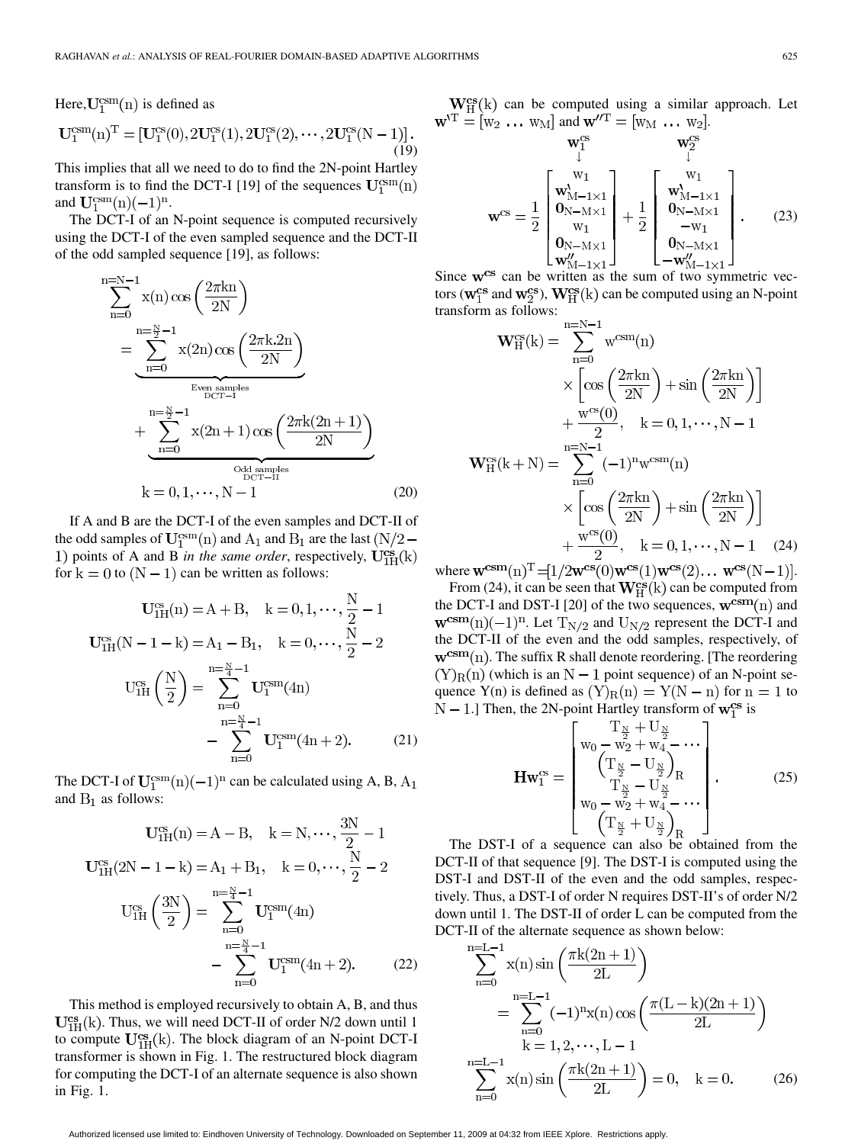Here,  $U_1^{\text{csm}}(n)$  is defined as

 $\mathbf n$ 

$$
\mathbf{U}^{\text{csm}}_1(n)^T = \left[\mathbf{U}^{\text{cs}}_1(0), 2\mathbf{U}^{\text{cs}}_1(1), 2\mathbf{U}^{\text{cs}}_1(2), \cdots, 2\mathbf{U}^{\text{cs}}_1(N-1)\right]. \eqno{(19)}
$$

This implies that all we need to do to find the 2N-point Hartley transform is to find the DCT-I [\[19](#page-8-0)] of the sequences  $U_1^{\text{csm}}(n)$ and  $\mathbf{U}^{\text{csm}}_1(n)(-1)^n$ .

The DCT-I of an N-point sequence is computed recursively using the DCT-I of the even sampled sequence and the DCT-II of the odd sampled sequence [[19\]](#page-8-0), as follows:

$$
\sum_{n=0}^{N-1} x(n) \cos\left(\frac{2\pi kn}{2N}\right)
$$
\n
$$
= \sum_{n=0}^{N-1} x(2n) \cos\left(\frac{2\pi k \cdot 2n}{2N}\right)
$$
\n
$$
+ \sum_{n=0}^{N-1} x(2n+1) \cos\left(\frac{2\pi k (2n+1)}{2N}\right)
$$
\n
$$
k = 0, 1, \dots, N-1
$$
\n(20)

If A and B are the DCT-I of the even samples and DCT-II of the odd samples of  $U_1^{\text{csm}}(n)$  and  $A_1$  and  $B_1$  are the last  $(N/2 -$ 1) points of A and B *in the same order*, respectively,  $U_{1H}^{cs}(k)$ for  $k = 0$  to  $(N - 1)$  can be written as follows:

$$
U_{1H}^{cs}(n) = A + B, \quad k = 0, 1, \dots, \frac{N}{2} - 1
$$
  

$$
U_{1H}^{cs}(N - 1 - k) = A_1 - B_1, \quad k = 0, \dots, \frac{N}{2} - 2
$$
  

$$
U_{1H}^{cs}\left(\frac{N}{2}\right) = \sum_{n=0}^{n = \frac{N}{4} - 1} U_1^{csm}(4n)
$$
  

$$
- \sum_{n=0}^{n = \frac{N}{4} - 1} U_1^{csm}(4n + 2).
$$
 (21)

The DCT-I of  $\mathbf{U}_1^{\text{csm}}(n)(-1)^n$  can be calculated using A, B, A<sub>1</sub> and  $B_1$  as follows:

$$
U_{1H}^{cs}(n) = A - B, \quad k = N, \dots, \frac{3N}{2} - 1
$$

$$
U_{1H}^{cs}(2N - 1 - k) = A_1 + B_1, \quad k = 0, \dots, \frac{N}{2} - 2
$$

$$
U_{1H}^{cs}\left(\frac{3N}{2}\right) = \sum_{n=0}^{n = \frac{N}{4} - 1} U_1^{csm}(4n)
$$

$$
- \sum_{n=0}^{n = \frac{N}{4} - 1} U_1^{csm}(4n + 2). \tag{22}
$$

This method is employed recursively to obtain A, B, and thus  $\mathbf{U}_{1\text{H}}^{\text{cs}}(k)$ . Thus, we will need DCT-II of order N/2 down until 1 to compute  $\mathbf{U}_{1\text{H}}^{\text{cs}}(k)$ . The block diagram of an N-point DCT-I transformer is shown in Fig. 1. The restructured block diagram for computing the DCT-I of an alternate sequence is also shown in Fig. 1.

 $\mathbf{W}_{\mathrm{H}}^{\mathrm{cs}}(k)$  can be computed using a similar approach. Let  $\mathbf{w}^{\text{v}} = [\mathbf{w}_2 \dots \mathbf{w}_M]$  and  $\mathbf{w}^{\text{v}} = [\mathbf{w}_M \dots \mathbf{w}_2].$ 

$$
\mathbf{w}^{\text{cs}} = \frac{1}{2} \begin{bmatrix} w_1 & w_2 \\ w_{M-1 \times 1} \\ 0_{N-M \times 1} \\ w_1 \\ 0_{N-M \times 1} \\ w_{M-1 \times 1} \end{bmatrix} + \frac{1}{2} \begin{bmatrix} w_1 \\ w_{M-1 \times 1} \\ 0_{N-M \times 1} \\ -w_1 \\ 0_{N-M \times 1} \\ -w_{M-1 \times 1}^{\prime \prime} \end{bmatrix} . \tag{23}
$$

Since  $w^{cs}$  can be written as the sum of two symmetric vectors ( $\mathbf{w}_1^{\mathbf{cs}}$  and  $\mathbf{w}_2^{\mathbf{cs}}$ ),  $\mathbf{W}_H^{\mathbf{cs}}(k)$  can be computed using an N-point transform as follows:

$$
\mathbf{W}_{\rm H}^{\rm cs}(k) = \sum_{n=0}^{n=N-1} w^{\rm csm}(n)
$$
  
 
$$
\times \left[ \cos\left(\frac{2\pi k n}{2N}\right) + \sin\left(\frac{2\pi k n}{2N}\right) \right]
$$
  
 
$$
+ \frac{w^{\rm cs}(0)}{2}, \quad k = 0, 1, \dots, N-1
$$
  

$$
\mathbf{W}_{\rm H}^{\rm cs}(k+N) = \sum_{n=0}^{n=N-1} (-1)^n w^{\rm csm}(n)
$$
  

$$
\times \left[ \cos\left(\frac{2\pi k n}{2N}\right) + \sin\left(\frac{2\pi k n}{2N}\right) \right]
$$
  

$$
+ \frac{w^{\rm cs}(0)}{2}, \quad k = 0, 1, \dots, N-1 \quad (24)
$$

where  $\mathbf{w}^{\text{csm}}(n)^{\text{T}} = [1/2\mathbf{w}^{\text{cs}}(0)\mathbf{w}^{\text{cs}}(1)\mathbf{w}^{\text{cs}}(2)\dots\mathbf{w}^{\text{cs}}(N-1)].$ 

From (24), it can be seen that  $\mathbf{W}_{\mathrm{H}}^{\mathrm{cs}}(k)$  can be computed from the DCT-I and DST-I [\[20](#page-8-0)] of the two sequences,  $\mathbf{w}^{\text{csm}}(n)$  and  $\mathbf{w}^{\text{csm}}(n)(-1)^n$ . Let  $T_{N/2}$  and  $U_{N/2}$  represent the DCT-I and the DCT-II of the even and the odd samples, respectively, of  $\mathbf{w}^{\text{csm}}(n)$ . The suffix R shall denote reordering. [The reordering  $(Y)_{R}(n)$  (which is an N – 1 point sequence) of an N-point sequence Y(n) is defined as  $(Y)_{R}(n) = Y(N - n)$  for  $n = 1$  to  $N - 1$ .] Then, the 2N-point Hartley transform of  $w_1^{\text{cs}}$  is

$$
\mathbf{H}\mathbf{w}_{1}^{\text{cs}} = \begin{bmatrix} \n\mathbf{T}_{\frac{\text{N}}{2}} + \mathbf{U}_{\frac{\text{N}}{2}} \\
w_{0} - w_{2} + w_{4} - \cdots \\
(\mathbf{T}_{\frac{\text{N}}{2}} - \mathbf{U}_{\frac{\text{N}}{2}})_{\text{R}} \\
\mathbf{T}_{\frac{\text{N}}{2}} - \mathbf{U}_{\frac{\text{N}}{2}} \\
w_{0} - w_{2} + w_{4} - \cdots \\
(\mathbf{T}_{\frac{\text{N}}{2}} + \mathbf{U}_{\frac{\text{N}}{2}})_{\text{R}}\n\end{bmatrix}.
$$
 (25)

The DST-I of a sequence can also be obtained from the DCT-II of that sequence [[9\]](#page-8-0). The DST-I is computed using the DST-I and DST-II of the even and the odd samples, respectively. Thus, a DST-I of order N requires DST-II's of order N/2 down until 1. The DST-II of order L can be computed from the DCT-II of the alternate sequence as shown below:

$$
\sum_{n=0}^{n=L-1} x(n) \sin\left(\frac{\pi k(2n+1)}{2L}\right)
$$
  
= 
$$
\sum_{n=0}^{n=L-1} (-1)^n x(n) \cos\left(\frac{\pi (L-k)(2n+1)}{2L}\right)
$$
  
k = 1, 2, ..., L – 1  

$$
\sum_{n=0}^{n=L-1} x(n) \sin\left(\frac{\pi k(2n+1)}{2L}\right) = 0, \quad k = 0.
$$
 (26)

Authorized licensed use limited to: Eindhoven University of Technology. Downloaded on September 11, 2009 at 04:32 from IEEE Xplore. Restrictions apply.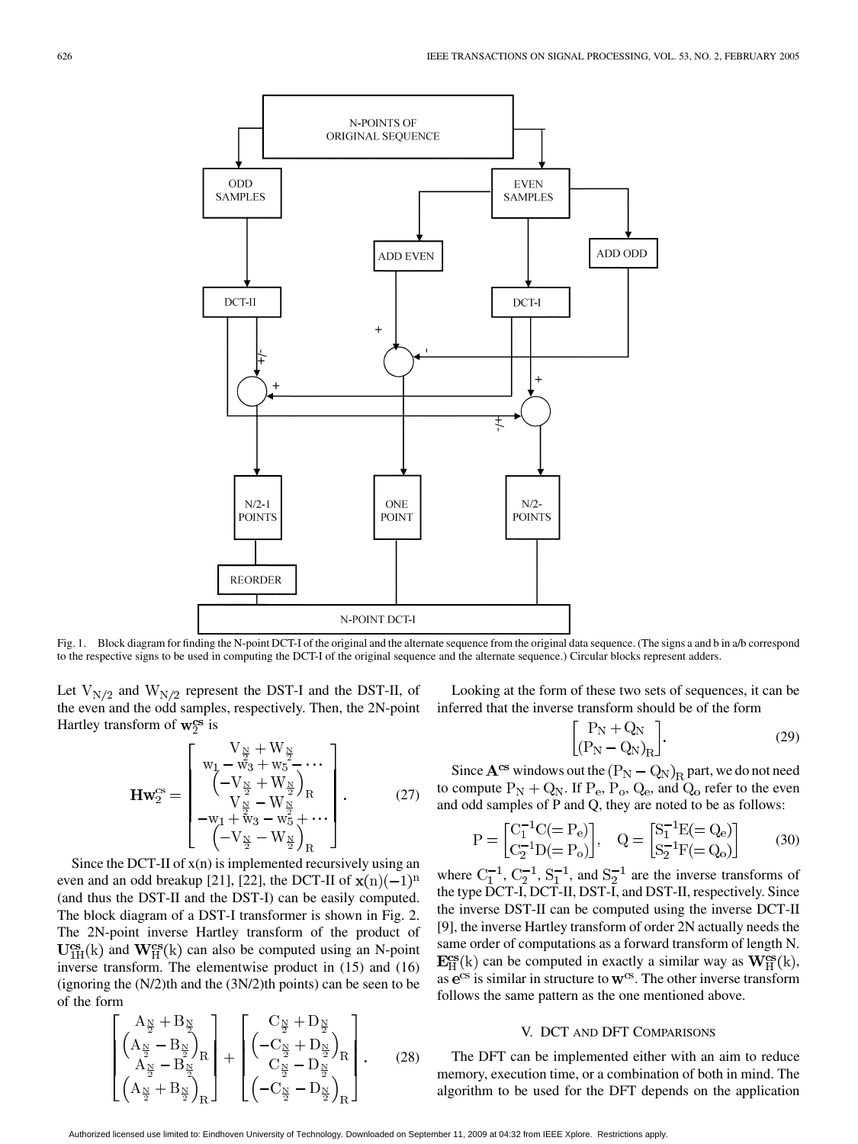

Fig. 1. Block diagram for finding the N-point DCT-I of the original and the alternate sequence from the original data sequence. (The signs a and b in a/b correspond to the respective signs to be used in computing the DCT-I of the original sequence and the alternate sequence.) Circular blocks represent adders.

Let  $V_{N/2}$  and  $W_{N/2}$  represent the DST-I and the DST-II, of the even and the odd samples, respectively. Then, the 2N-point Hartley transform of  $w_2^{\text{cs}}$  is

$$
\mathbf{H}\mathbf{w}_{2}^{\text{cs}} = \begin{bmatrix} v_{\frac{N}{2}} + w_{\frac{N}{2}} \\ w_{1} - w_{3} + w_{5} - \cdots \\ (-V_{\frac{N}{2}} + W_{\frac{N}{2}})_{R} \\ V_{\frac{N}{2}} - W_{\frac{N}{2}} \\ -w_{1} + w_{3} - w_{5} + \cdots \\ (-V_{\frac{N}{2}} - W_{\frac{N}{2}})_{R} \end{bmatrix} .
$$
 (27)

Since the DCT-II of  $x(n)$  is implemented recursively using an even and an odd breakup [\[21](#page-8-0)], [\[22](#page-8-0)], the DCT-II of  $\mathbf{x}(n)(-1)^n$ (and thus the DST-II and the DST-I) can be easily computed. The block diagram of a DST-I transformer is shown in Fig. 2. The 2N-point inverse Hartley transform of the product of  $\mathbf{U}_{1\mathrm{H}}^{\mathrm{cs}}(\mathrm{k})$  and  $\mathbf{W}_{\mathrm{H}}^{\mathrm{cs}}(\mathrm{k})$  can also be computed using an N-point inverse transform. The elementwise product in (15) and (16) (ignoring the (N/2)th and the (3N/2)th points) can be seen to be of the form

$$
\begin{bmatrix}\nA_{\frac{N}{2}} + B_{\frac{N}{2}} \\
(A_{\frac{N}{2}} - B_{\frac{N}{2}})_{R} \\
A_{\frac{N}{2}} - B_{\frac{N}{2}} \\
(A_{\frac{N}{2}} + B_{\frac{N}{2}})_{R}\n\end{bmatrix} + \begin{bmatrix}\nC_{\frac{N}{2}} + D_{\frac{N}{2}} \\
-C_{\frac{N}{2}} + D_{\frac{N}{2}} \\
C_{\frac{N}{2}} - D_{\frac{N}{2}} \\
-C_{\frac{N}{2}} - D_{\frac{N}{2}}\n\end{bmatrix}.
$$
\n(28)

Looking at the form of these two sets of sequences, it can be inferred that the inverse transform should be of the form

$$
\begin{bmatrix} P_N + Q_N \ (P_N - Q_N)_R \end{bmatrix}.
$$
 (29)

Since  ${\bf A}^{cs}$  windows out the  $(P_N - Q_N)_R$  part, we do not need to compute  $P_N + Q_N$ . If  $P_e$ ,  $P_o$ ,  $Q_e$ , and  $Q_o$  refer to the even and odd samples of P and Q, they are noted to be as follows:

$$
P = \begin{bmatrix} C_1^{-1}C (= P_e) \\ C_2^{-1}D(= P_o) \end{bmatrix}, \quad Q = \begin{bmatrix} S_1^{-1}E(= Q_e) \\ S_2^{-1}F(= Q_o) \end{bmatrix}
$$
(30)

where  $C_1^{-1}$ ,  $C_2^{-1}$ ,  $S_1^{-1}$ , and  $S_2^{-1}$  are the inverse transforms of the type DCT-I, DCT-II, DST-I, and DST-II, respectively. Since the inverse DST-II can be computed using the inverse DCT-II [[9\]](#page-8-0), the inverse Hartley transform of order 2N actually needs the same order of computations as a forward transform of length N.  $\mathbf{E}^{\text{cs}}_H(k)$  can be computed in exactly a similar way as  $\mathbf{W}^{\text{cs}}_H(k)$ , as  $e^{cs}$  is similar in structure to  $w^{cs}$ . The other inverse transform follows the same pattern as the one mentioned above.

#### V. DCT AND DFT COMPARISONS

The DFT can be implemented either with an aim to reduce memory, execution time, or a combination of both in mind. The algorithm to be used for the DFT depends on the application

Authorized licensed use limited to: Eindhoven University of Technology. Downloaded on September 11, 2009 at 04:32 from IEEE Xplore. Restrictions apply.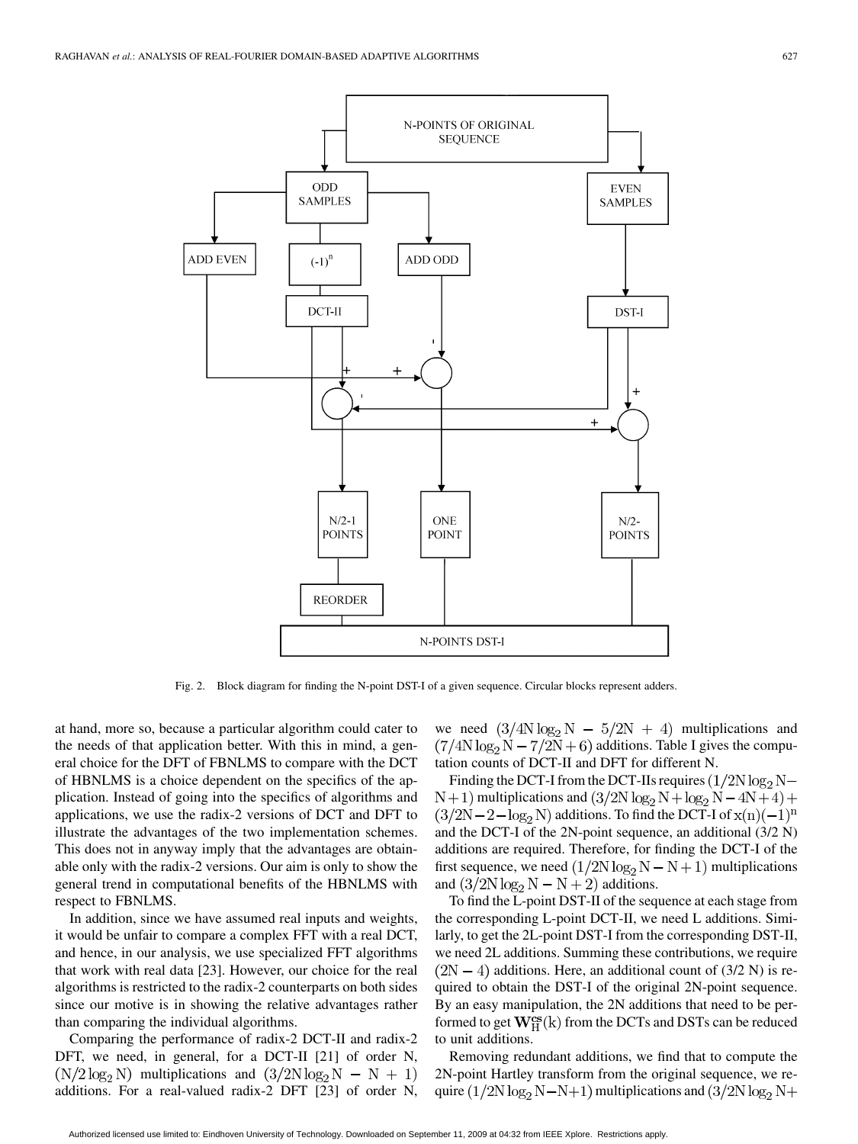

Fig. 2. Block diagram for finding the N-point DST-I of a given sequence. Circular blocks represent adders.

at hand, more so, because a particular algorithm could cater to the needs of that application better. With this in mind, a general choice for the DFT of FBNLMS to compare with the DCT of HBNLMS is a choice dependent on the specifics of the application. Instead of going into the specifics of algorithms and applications, we use the radix-2 versions of DCT and DFT to illustrate the advantages of the two implementation schemes. This does not in anyway imply that the advantages are obtainable only with the radix-2 versions. Our aim is only to show the general trend in computational benefits of the HBNLMS with respect to FBNLMS.

In addition, since we have assumed real inputs and weights, it would be unfair to compare a complex FFT with a real DCT, and hence, in our analysis, we use specialized FFT algorithms that work with real data [\[23](#page-8-0)]. However, our choice for the real algorithms is restricted to the radix-2 counterparts on both sides since our motive is in showing the relative advantages rather than comparing the individual algorithms.

Comparing the performance of radix-2 DCT-II and radix-2 DFT, we need, in general, for a DCT-II [\[21](#page-8-0)] of order N,  $(N/2 \log_2 N)$  multiplications and  $(3/2N \log_2 N - N + 1)$ additions. For a real-valued radix-2 DFT [\[23](#page-8-0)] of order N, we need  $\left(\frac{3}{4N \log_2 N} - \frac{5}{2N} + 4\right)$  multiplications and  $(7/4N \log_2 N - 7/2N + 6)$  additions. Table I gives the computation counts of DCT-II and DFT for different N.

Finding the DCT-I from the DCT-IIs requires  $(1/2N \log_2 N N+1$ ) multiplications and  $\left(\frac{3}{2N \log_2 N + \log_2 N - 4N + 4}\right)$  +  $(3/2N-2-\log_2 N)$  additions. To find the DCT-I of  $x(n)(-1)^n$ and the DCT-I of the 2N-point sequence, an additional (3/2 N) additions are required. Therefore, for finding the DCT-I of the first sequence, we need  $(1/2N \log_2 N - N + 1)$  multiplications and  $(3/2N \log_2 N - N + 2)$  additions.

To find the L-point DST-II of the sequence at each stage from the corresponding L-point DCT-II, we need L additions. Similarly, to get the 2L-point DST-I from the corresponding DST-II, we need 2L additions. Summing these contributions, we require  $(2N-4)$  additions. Here, an additional count of  $(3/2 N)$  is required to obtain the DST-I of the original 2N-point sequence. By an easy manipulation, the 2N additions that need to be performed to get  $\mathbf{W}_{\mathrm{H}}^{\mathrm{cs}}(k)$  from the DCTs and DSTs can be reduced to unit additions.

Removing redundant additions, we find that to compute the 2N-point Hartley transform from the original sequence, we require  $(1/2N \log_2 N - N + 1)$  multiplications and  $(3/2N \log_2 N +$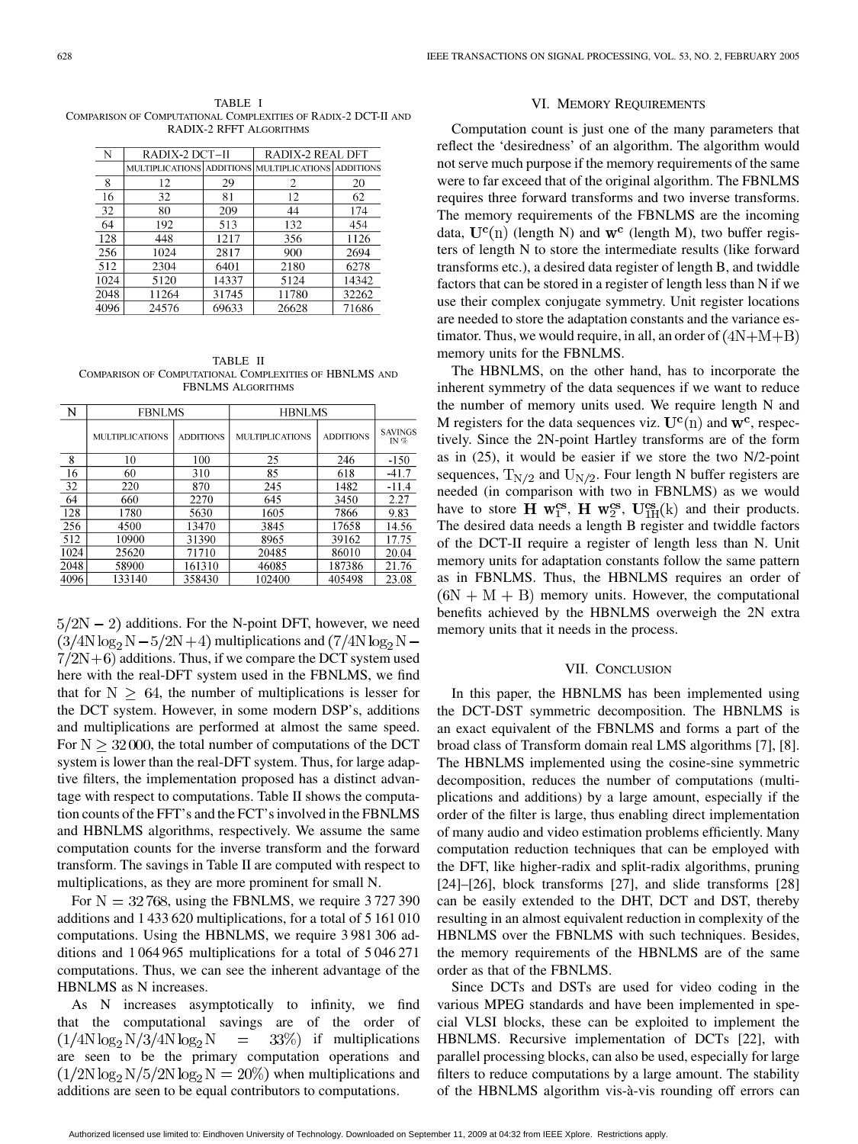TABLE I COMPARISON OF COMPUTATIONAL COMPLEXITIES OF RADIX-2 DCT-II AND RADIX-2 RFFT ALGORITHMS

| N    | RADIX-2 DCT-II |       | RADIX-2 REAL DFT                                    |       |  |
|------|----------------|-------|-----------------------------------------------------|-------|--|
|      |                |       | MULTIPLICATIONS ADDITIONS MULTIPLICATIONS ADDITIONS |       |  |
| 8    | 12             | 29    | 2                                                   | 20    |  |
| 16   | 32             | 81    | 12                                                  | 62    |  |
| 32   | 80             | 209   | 44                                                  | 174   |  |
| 64   | 192            | 513   | 132                                                 | 454   |  |
| 128  | 448            | 1217  | 356                                                 | 1126  |  |
| 256  | 1024           | 2817  | 900                                                 | 2694  |  |
| 512  | 2304           | 6401  | 2180                                                | 6278  |  |
| 1024 | 5120           | 14337 | 5124                                                | 14342 |  |
| 2048 | 11264          | 31745 | 11780                                               | 32262 |  |
| 4096 | 24576          | 69633 | 26628                                               | 71686 |  |

TABLE II COMPARISON OF COMPUTATIONAL COMPLEXITIES OF HBNLMS AND FBNLMS ALGORITHMS

| N    | <b>FBNLMS</b>          |                  | <b>HBNLMS</b>          |                  |                       |
|------|------------------------|------------------|------------------------|------------------|-----------------------|
|      | <b>MULTIPLICATIONS</b> | <b>ADDITIONS</b> | <b>MULTIPLICATIONS</b> | <b>ADDITIONS</b> | <b>SAVINGS</b><br>IN% |
| -8   | 10                     | 100              | 25                     | 246              | $-150$                |
| 16   | 60                     | 310              | 85                     | 618              | $-41.7$               |
| 32   | 220                    | 870              | 245                    | 1482             | $-11.4$               |
| 64   | 660                    | 2270             | 645                    | 3450             | 2.27                  |
| 128  | 1780                   | 5630             | 1605                   | 7866             | 9.83                  |
| 256  | 4500                   | 13470            | 3845                   | 17658            | 14.56                 |
| 512  | 10900                  | 31390            | 8965                   | 39162            | 17.75                 |
| 1024 | 25620                  | 71710            | 20485                  | 86010            | 20.04                 |
| 2048 | 58900                  | 161310           | 46085                  | 187386           | 21.76                 |
| 4096 | 133140                 | 358430           | 102400                 | 405498           | 23.08                 |

 $5/2N - 2$ ) additions. For the N-point DFT, however, we need  $\frac{(3/4N \log_2 N - 5/2N + 4)}{2N}$  multiplications and  $\frac{(7/4N \log_2 N - 5/2N)}{2N}$  $7/2N+6$ ) additions. Thus, if we compare the DCT system used here with the real-DFT system used in the FBNLMS, we find that for  $N > 64$ , the number of multiplications is lesser for the DCT system. However, in some modern DSP's, additions and multiplications are performed at almost the same speed. For  $N \geq 32000$ , the total number of computations of the DCT system is lower than the real-DFT system. Thus, for large adaptive filters, the implementation proposed has a distinct advantage with respect to computations. Table II shows the computation counts of the FFT's and the FCT's involved in the FBNLMS and HBNLMS algorithms, respectively. We assume the same computation counts for the inverse transform and the forward transform. The savings in Table II are computed with respect to multiplications, as they are more prominent for small N.

For  $N = 32768$ , using the FBNLMS, we require 3727390 additions and 1 433 620 multiplications, for a total of 5 161 010 computations. Using the HBNLMS, we require 3 981 306 additions and 1 064 965 multiplications for a total of 5 046 271 computations. Thus, we can see the inherent advantage of the HBNLMS as N increases.

As N increases asymptotically to infinity, we find that the computational savings are of the order of  $(1/4N\log_2N/3/4N\log_2N)$  $=$  $33\%$ ) if multiplications are seen to be the primary computation operations and  $(1/2N \log_2 N/5/2N \log_2 N = 20\%)$  when multiplications and additions are seen to be equal contributors to computations.

#### VI. MEMORY REQUIREMENTS

Computation count is just one of the many parameters that reflect the 'desiredness' of an algorithm. The algorithm would not serve much purpose if the memory requirements of the same were to far exceed that of the original algorithm. The FBNLMS requires three forward transforms and two inverse transforms. The memory requirements of the FBNLMS are the incoming data,  $U^{c}(n)$  (length N) and  $w^{c}$  (length M), two buffer registers of length N to store the intermediate results (like forward transforms etc.), a desired data register of length B, and twiddle factors that can be stored in a register of length less than N if we use their complex conjugate symmetry. Unit register locations are needed to store the adaptation constants and the variance estimator. Thus, we would require, in all, an order of  $(4N+M+B)$ memory units for the FBNLMS.

The HBNLMS, on the other hand, has to incorporate the inherent symmetry of the data sequences if we want to reduce the number of memory units used. We require length N and M registers for the data sequences viz.  $U^c(n)$  and  $w^c$ , respectively. Since the 2N-point Hartley transforms are of the form as in (25), it would be easier if we store the two N/2-point sequences,  $T_{N/2}$  and  $U_{N/2}$ . Four length N buffer registers are needed (in comparison with two in FBNLMS) as we would have to store H  $\mathbf{w}_1^{\text{cs}},$  H  $\mathbf{w}_2^{\text{cs}},$   $\mathbf{U}_{1\text{H}}^{\text{cs}}(k)$  and their products. The desired data needs a length B register and twiddle factors of the DCT-II require a register of length less than N. Unit memory units for adaptation constants follow the same pattern as in FBNLMS. Thus, the HBNLMS requires an order of  $(6N + M + B)$  memory units. However, the computational benefits achieved by the HBNLMS overweigh the 2N extra memory units that it needs in the process.

#### VII. CONCLUSION

In this paper, the HBNLMS has been implemented using the DCT-DST symmetric decomposition. The HBNLMS is an exact equivalent of the FBNLMS and forms a part of the broad class of Transform domain real LMS algorithms [\[7](#page-8-0)], [[8\]](#page-8-0). The HBNLMS implemented using the cosine-sine symmetric decomposition, reduces the number of computations (multiplications and additions) by a large amount, especially if the order of the filter is large, thus enabling direct implementation of many audio and video estimation problems efficiently. Many computation reduction techniques that can be employed with the DFT, like higher-radix and split-radix algorithms, pruning [[24\]](#page-8-0)–[[26](#page-8-0)], block transforms [\[27\]](#page-8-0), and slide transforms [\[28](#page-8-0)] can be easily extended to the DHT, DCT and DST, thereby resulting in an almost equivalent reduction in complexity of the HBNLMS over the FBNLMS with such techniques. Besides, the memory requirements of the HBNLMS are of the same order as that of the FBNLMS.

Since DCTs and DSTs are used for video coding in the various MPEG standards and have been implemented in special VLSI blocks, these can be exploited to implement the HBNLMS. Recursive implementation of DCTs [\[22](#page-8-0)], with parallel processing blocks, can also be used, especially for large filters to reduce computations by a large amount. The stability of the HBNLMS algorithm vis-à-vis rounding off errors can